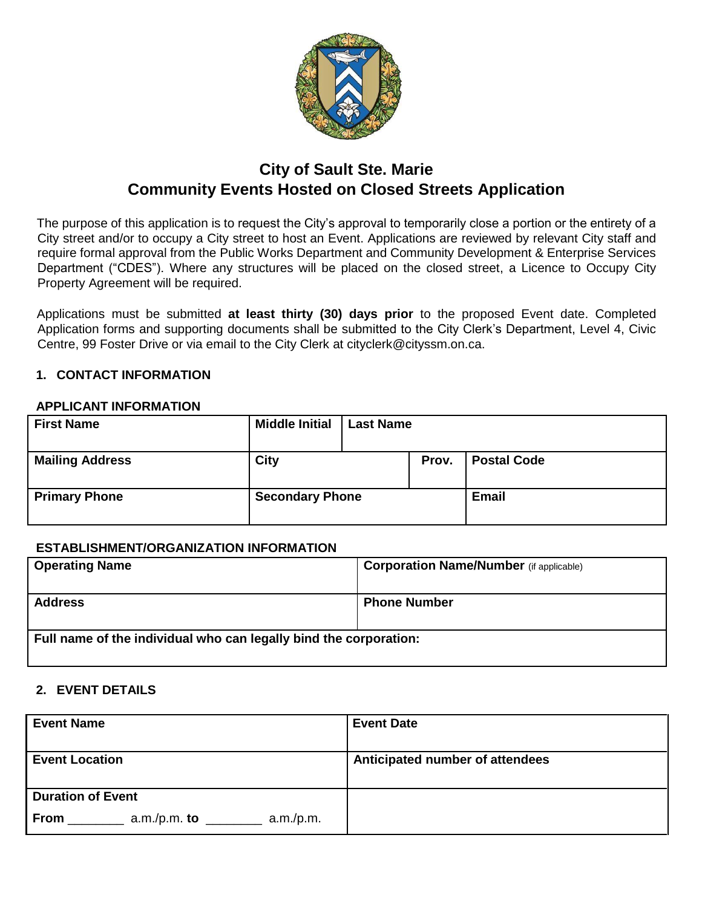

# **City of Sault Ste. Marie Community Events Hosted on Closed Streets Application**

The purpose of this application is to request the City's approval to temporarily close a portion or the entirety of a City street and/or to occupy a City street to host an Event. Applications are reviewed by relevant City staff and require formal approval from the Public Works Department and Community Development & Enterprise Services Department ("CDES"). Where any structures will be placed on the closed street, a Licence to Occupy City Property Agreement will be required.

Applications must be submitted **at least thirty (30) days prior** to the proposed Event date. Completed Application forms and supporting documents shall be submitted to the City Clerk's Department, Level 4, Civic Centre, 99 Foster Drive or via email to the City Clerk at cityclerk@cityssm.on.ca.

## **1. CONTACT INFORMATION**

## **APPLICANT INFORMATION**

| <b>First Name</b>      | <b>Middle Initial</b>  | <b>Last Name</b> |       |                    |
|------------------------|------------------------|------------------|-------|--------------------|
| <b>Mailing Address</b> | <b>City</b>            |                  | Prov. | <b>Postal Code</b> |
| <b>Primary Phone</b>   | <b>Secondary Phone</b> |                  |       | <b>Email</b>       |

## **ESTABLISHMENT/ORGANIZATION INFORMATION**

| <b>Operating Name</b>                                             | <b>Corporation Name/Number</b> (if applicable) |
|-------------------------------------------------------------------|------------------------------------------------|
| <b>Address</b>                                                    | <b>Phone Number</b>                            |
| Full name of the individual who can legally bind the corporation: |                                                |

#### **2. EVENT DETAILS**

| <b>Event Name</b>                          | <b>Event Date</b>               |
|--------------------------------------------|---------------------------------|
| <b>Event Location</b>                      | Anticipated number of attendees |
| <b>Duration of Event</b>                   |                                 |
| $a.m./p.m.$ to<br><b>From</b><br>a.m./p.m. |                                 |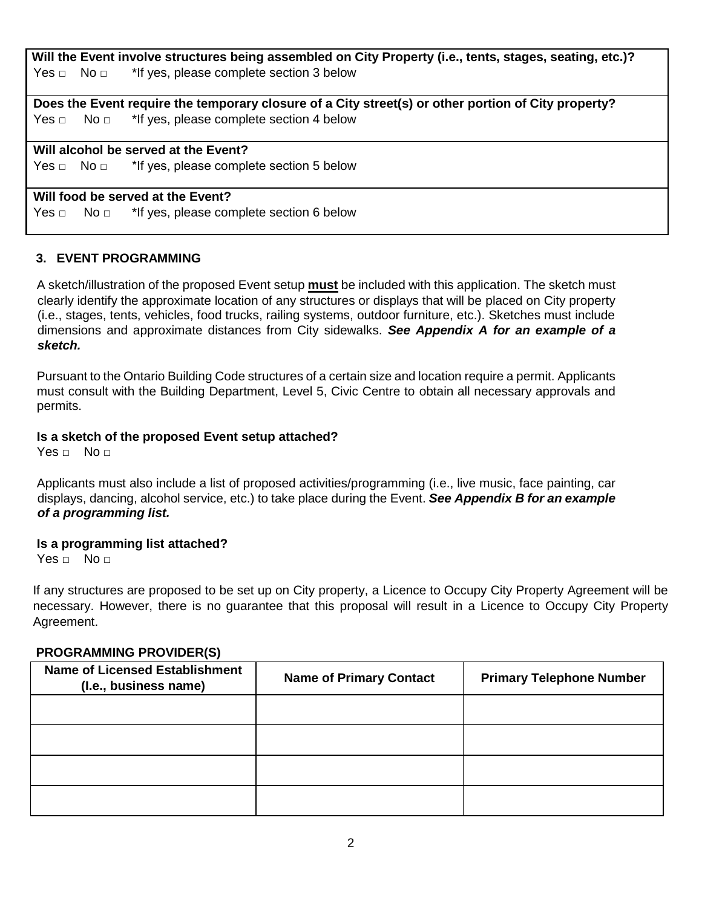**Will the Event involve structures being assembled on City Property (i.e., tents, stages, seating, etc.)?**  Yes **□** No **□** \*If yes, please complete section 3 below

**Does the Event require the temporary closure of a City street(s) or other portion of City property?**  Yes □ No □ <sup>\*</sup>If yes, please complete section 4 below

# **Will alcohol be served at the Event?**

Yes □ No □ \*If yes, please complete section 5 below

#### **Will food be served at the Event?**

Yes **□** No **□** \*If yes, please complete section 6 below

#### **3. EVENT PROGRAMMING**

A sketch/illustration of the proposed Event setup **must** be included with this application. The sketch must clearly identify the approximate location of any structures or displays that will be placed on City property (i.e., stages, tents, vehicles, food trucks, railing systems, outdoor furniture, etc.). Sketches must include dimensions and approximate distances from City sidewalks. *See Appendix A for an example of a sketch.*

Pursuant to the Ontario Building Code structures of a certain size and location require a permit. Applicants must consult with the Building Department, Level 5, Civic Centre to obtain all necessary approvals and permits.

#### **Is a sketch of the proposed Event setup attached?**

Yes **□** No **□**

Applicants must also include a list of proposed activities/programming (i.e., live music, face painting, car displays, dancing, alcohol service, etc.) to take place during the Event. *See Appendix B for an example of a programming list.*

#### **Is a programming list attached?**

Yes **□** No **□**

If any structures are proposed to be set up on City property, a Licence to Occupy City Property Agreement will be necessary. However, there is no guarantee that this proposal will result in a Licence to Occupy City Property Agreement.

#### **PROGRAMMING PROVIDER(S)**

| <b>Name of Licensed Establishment</b><br>(I.e., business name) | <b>Name of Primary Contact</b> | <b>Primary Telephone Number</b> |
|----------------------------------------------------------------|--------------------------------|---------------------------------|
|                                                                |                                |                                 |
|                                                                |                                |                                 |
|                                                                |                                |                                 |
|                                                                |                                |                                 |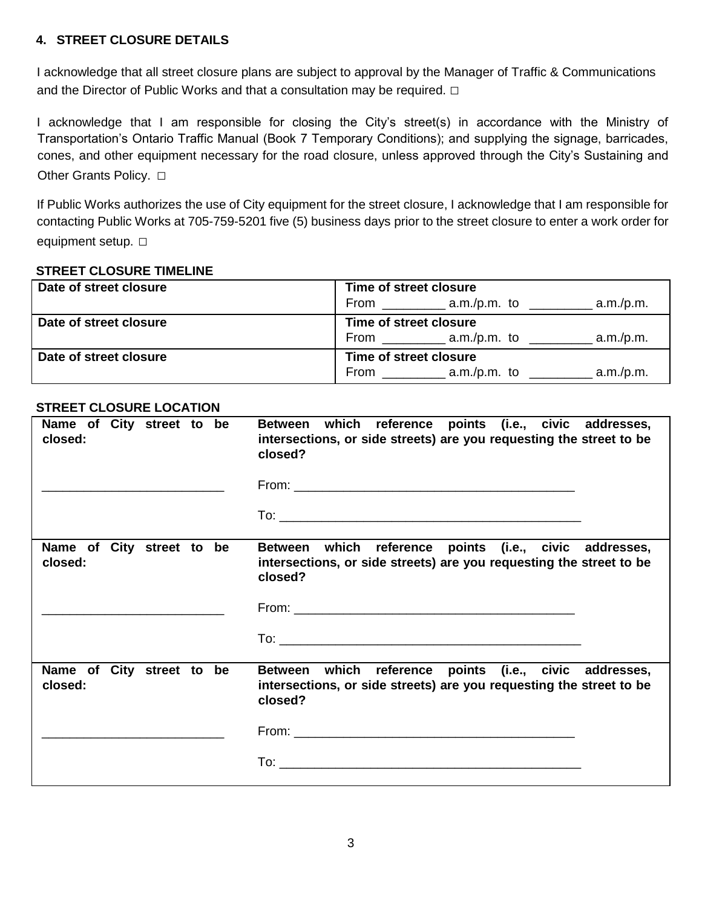# **4. STREET CLOSURE DETAILS**

I acknowledge that all street closure plans are subject to approval by the Manager of Traffic & Communications and the Director of Public Works and that a consultation may be required. **□**

I acknowledge that I am responsible for closing the City's street(s) in accordance with the Ministry of Transportation's Ontario Traffic Manual (Book 7 Temporary Conditions); and supplying the signage, barricades, cones, and other equipment necessary for the road closure, unless approved through the City's Sustaining and Other Grants Policy. **□**

If Public Works authorizes the use of City equipment for the street closure, I acknowledge that I am responsible for contacting Public Works at 705-759-5201 five (5) business days prior to the street closure to enter a work order for equipment setup. **□**

#### **STREET CLOSURE TIMELINE**

| Date of street closure | Time of street closure<br>From $\_\_\_\_\_\$ a.m./p.m. to<br>a.m./p.m. |
|------------------------|------------------------------------------------------------------------|
| Date of street closure | Time of street closure<br>a.m./p.m.<br>From a.m./p.m. to               |
| Date of street closure | Time of street closure<br>a.m./p.m.<br>a.m./p.m. to<br>From            |

## **STREET CLOSURE LOCATION**

| Name of City street to be<br>closed: | which reference points (i.e., civic addresses,<br><b>Between</b><br>intersections, or side streets) are you requesting the street to be<br>closed? |
|--------------------------------------|----------------------------------------------------------------------------------------------------------------------------------------------------|
| Name of City street to be<br>closed: | Between which reference points (i.e., civic addresses,<br>intersections, or side streets) are you requesting the street to be<br>closed?           |
| Name of City street to be<br>closed: | which reference points (i.e., civic addresses,<br><b>Between</b><br>intersections, or side streets) are you requesting the street to be<br>closed? |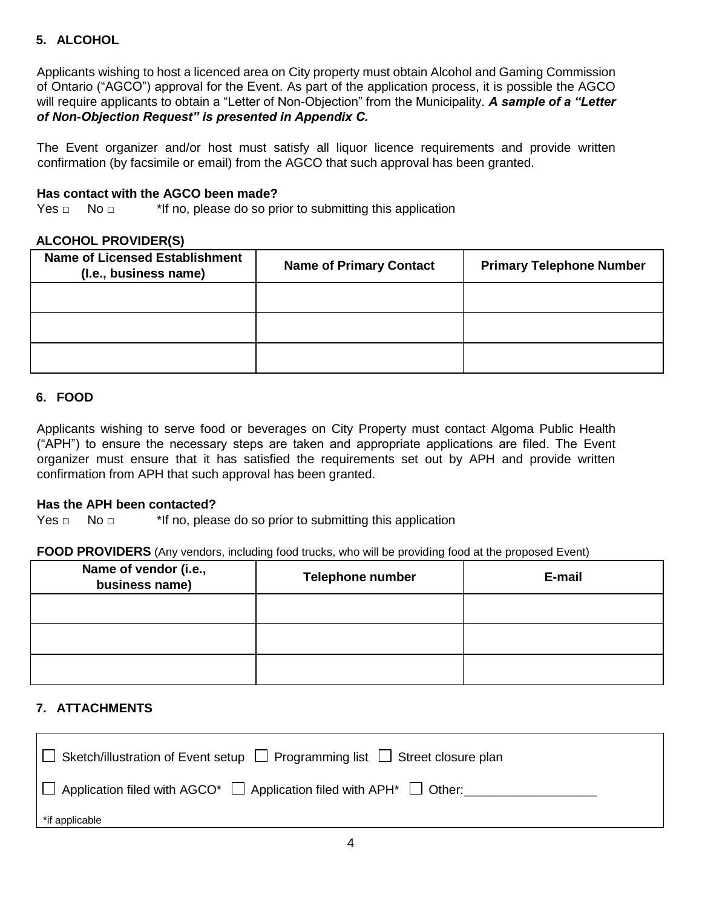# **5. ALCOHOL**

Applicants wishing to host a licenced area on City property must obtain Alcohol and Gaming Commission of Ontario ("AGCO") approval for the Event. As part of the application process, it is possible the AGCO will require applicants to obtain a "Letter of Non-Objection" from the Municipality. *A sample of a "Letter of Non-Objection Request" is presented in Appendix C.*

The Event organizer and/or host must satisfy all liquor licence requirements and provide written confirmation (by facsimile or email) from the AGCO that such approval has been granted.

#### **Has contact with the AGCO been made?**

Yes **□** No **□** \*If no, please do so prior to submitting this application

#### **ALCOHOL PROVIDER(S)**

| <b>Name of Licensed Establishment</b><br>(I.e., business name) | <b>Name of Primary Contact</b> | <b>Primary Telephone Number</b> |
|----------------------------------------------------------------|--------------------------------|---------------------------------|
|                                                                |                                |                                 |
|                                                                |                                |                                 |
|                                                                |                                |                                 |

## **6. FOOD**

Applicants wishing to serve food or beverages on City Property must contact Algoma Public Health ("APH") to ensure the necessary steps are taken and appropriate applications are filed. The Event organizer must ensure that it has satisfied the requirements set out by APH and provide written confirmation from APH that such approval has been granted.

#### **Has the APH been contacted?**

Yes **□** No **□** \*If no, please do so prior to submitting this application

#### **FOOD PROVIDERS** (Any vendors, including food trucks, who will be providing food at the proposed Event)

| Name of vendor (i.e.,<br>business name) | <b>Telephone number</b> | E-mail |
|-----------------------------------------|-------------------------|--------|
|                                         |                         |        |
|                                         |                         |        |
|                                         |                         |        |

## **7. ATTACHMENTS**

| $\Box$ Sketch/illustration of Event setup $\Box$ Programming list $\Box$ Street closure plan |
|----------------------------------------------------------------------------------------------|
| $\Box$ Application filed with AGCO* $\Box$ Application filed with APH* $\Box$ Other:         |
| *if applicable                                                                               |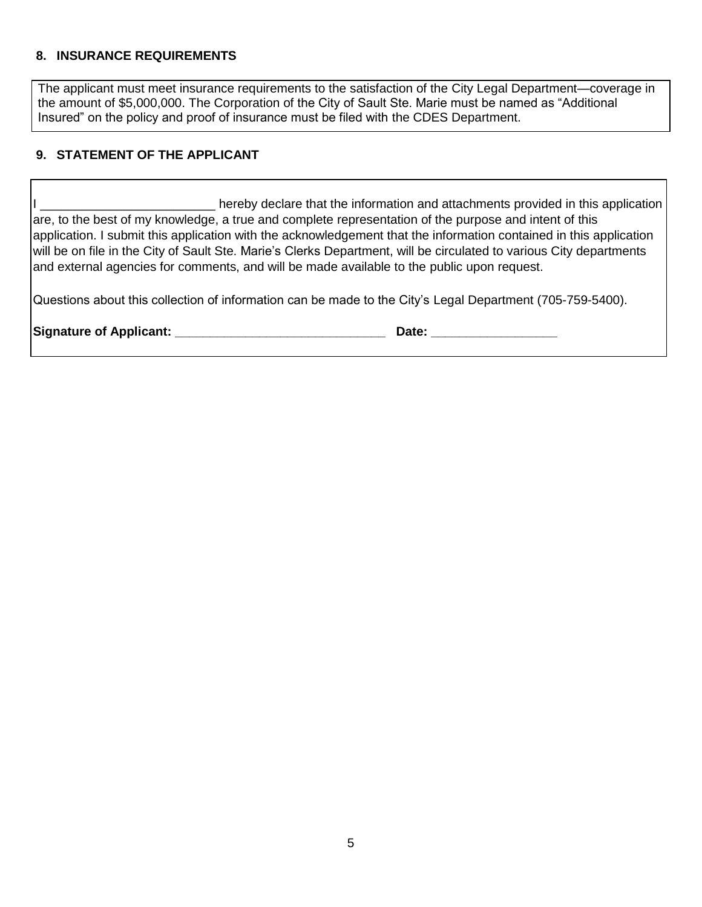#### **8. INSURANCE REQUIREMENTS**

The applicant must meet insurance requirements to the satisfaction of the City Legal Department—coverage in the amount of \$5,000,000. The Corporation of the City of Sault Ste. Marie must be named as "Additional Insured" on the policy and proof of insurance must be filed with the CDES Department.

# **9. STATEMENT OF THE APPLICANT**

I hereby declare that the information and attachments provided in this application are, to the best of my knowledge, a true and complete representation of the purpose and intent of this application. I submit this application with the acknowledgement that the information contained in this application will be on file in the City of Sault Ste. Marie's Clerks Department, will be circulated to various City departments and external agencies for comments, and will be made available to the public upon request.

Questions about this collection of information can be made to the City's Legal Department (705-759-5400).

| <b>Signature of Applicant:</b> |  |  |  |
|--------------------------------|--|--|--|
|--------------------------------|--|--|--|

 $\blacksquare$  Date:  $\blacksquare$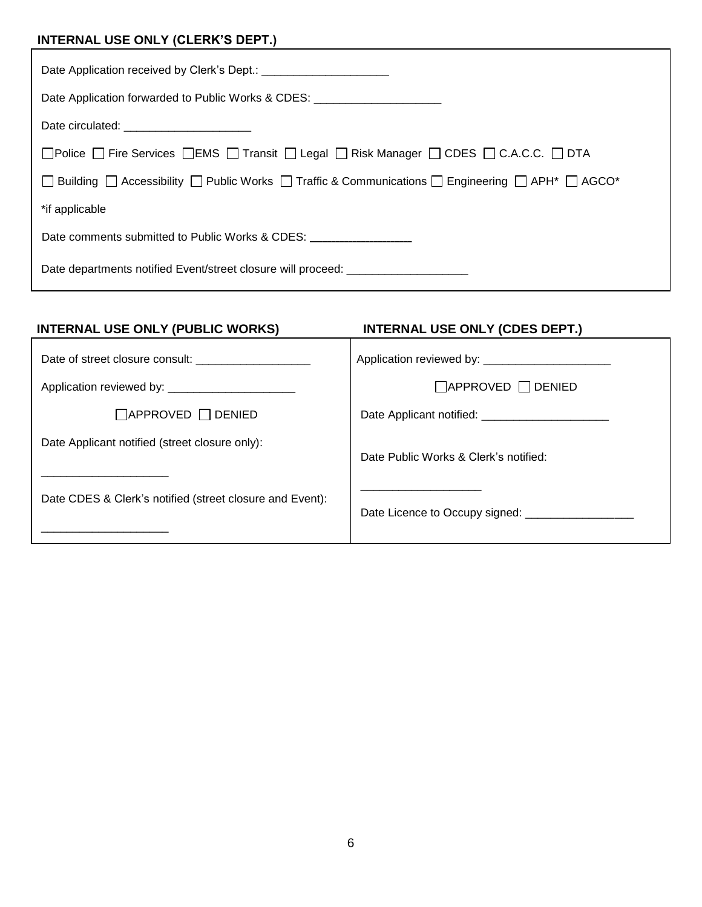# **INTERNAL USE ONLY (CLERK'S DEPT.)**

| Date Application forwarded to Public Works & CDES: _____________________________                             |  |  |
|--------------------------------------------------------------------------------------------------------------|--|--|
| Date circulated: _________________________                                                                   |  |  |
| □ Police □ Fire Services □ EMS □ Transit □ Legal □ Risk Manager □ CDES □ C.A.C.C. □ DTA                      |  |  |
| □ Building □ Accessibility □ Public Works □ Traffic & Communications □ Engineering □ APH <sup>*</sup> □ AGCO |  |  |
| *if applicable                                                                                               |  |  |
| Date comments submitted to Public Works & CDES:                                                              |  |  |
| Date departments notified Event/street closure will proceed: ___________________                             |  |  |

| <b>INTERNAL USE ONLY (PUBLIC WORKS)</b>                  | <b>INTERNAL USE ONLY (CDES DEPT.)</b>             |
|----------------------------------------------------------|---------------------------------------------------|
|                                                          | Application reviewed by: _______________________  |
|                                                          | $\Box$ APPROVED $\Box$ DENIED                     |
| $\Box$ APPROVED $\Box$ DENIED                            | Date Applicant notified: ________________________ |
| Date Applicant notified (street closure only):           | Date Public Works & Clerk's notified:             |
| Date CDES & Clerk's notified (street closure and Event): |                                                   |
|                                                          |                                                   |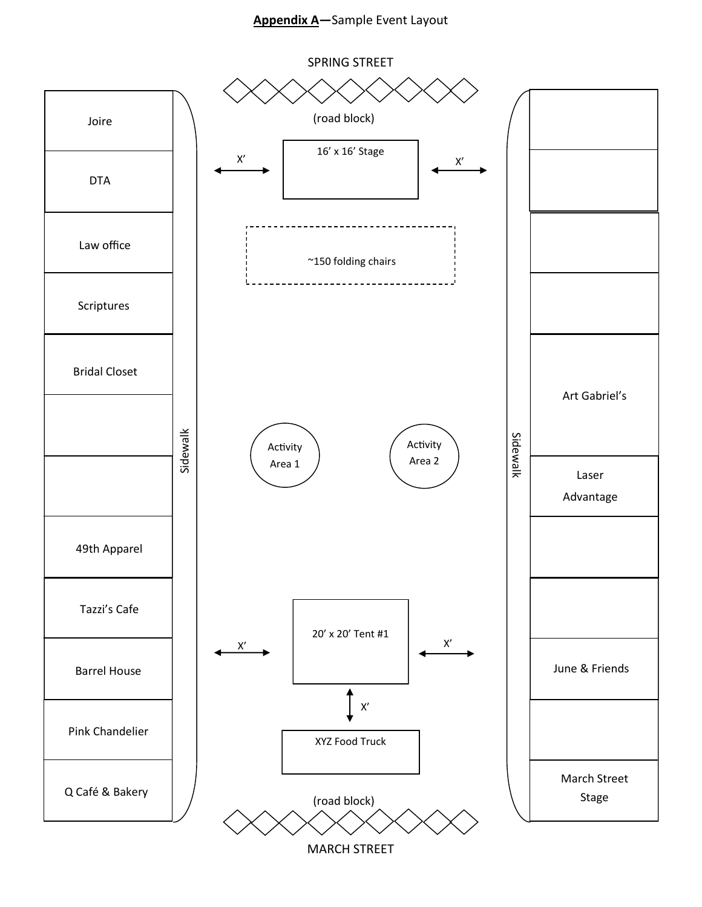# **Appendix A—**Sample Event Layout



MARCH STREET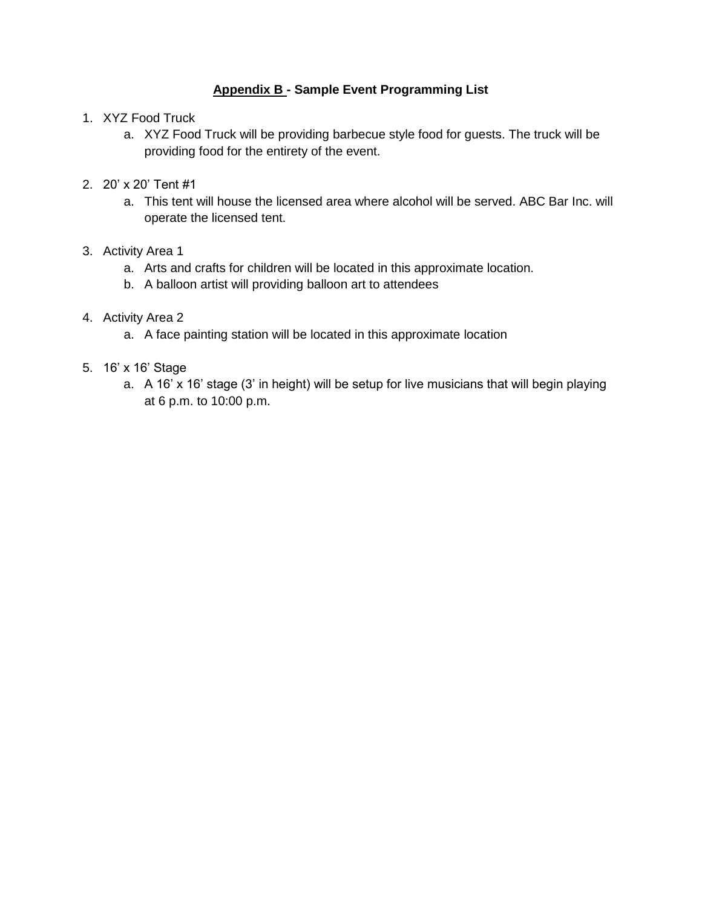# **Appendix B - Sample Event Programming List**

- 1. XYZ Food Truck
	- a. XYZ Food Truck will be providing barbecue style food for guests. The truck will be providing food for the entirety of the event.
- 2. 20' x 20' Tent #1
	- a. This tent will house the licensed area where alcohol will be served. ABC Bar Inc. will operate the licensed tent.

# 3. Activity Area 1

- a. Arts and crafts for children will be located in this approximate location.
- b. A balloon artist will providing balloon art to attendees

# 4. Activity Area 2

a. A face painting station will be located in this approximate location

# 5. 16' x 16' Stage

a. A 16' x 16' stage (3' in height) will be setup for live musicians that will begin playing at 6 p.m. to 10:00 p.m.